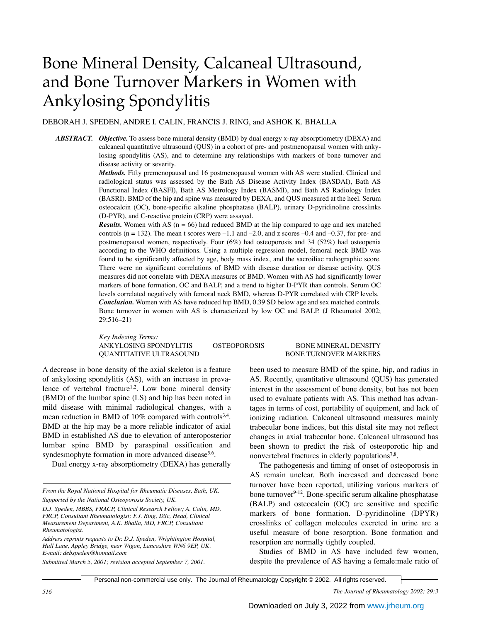# Bone Mineral Density, Calcaneal Ultrasound, and Bone Turnover Markers in Women with Ankylosing Spondylitis

DEBORAH J. SPEDEN, ANDRE I. CALIN, FRANCIS J. RING, and ASHOK K. BHALLA

*ABSTRACT. Objective.* To assess bone mineral density (BMD) by dual energy x-ray absorptiometry (DEXA) and calcaneal quantitative ultrasound (QUS) in a cohort of pre- and postmenopausal women with ankylosing spondylitis (AS), and to determine any relationships with markers of bone turnover and disease activity or severity.

> *Methods.* Fifty premenopausal and 16 postmenopausal women with AS were studied. Clinical and radiological status was assessed by the Bath AS Disease Activity Index (BASDAI), Bath AS Functional Index (BASFI), Bath AS Metrology Index (BASMI), and Bath AS Radiology Index (BASRI). BMD of the hip and spine was measured by DEXA, and QUS measured at the heel. Serum osteocalcin (OC), bone-specific alkaline phosphatase (BALP), urinary D-pyridinoline crosslinks (D-PYR), and C-reactive protein (CRP) were assayed.

> *Results.* Women with AS ( $n = 66$ ) had reduced BMD at the hip compared to age and sex matched controls ( $n = 132$ ). The mean t scores were  $-1.1$  and  $-2.0$ , and z scores  $-0.4$  and  $-0.37$ , for pre- and postmenopausal women, respectively. Four (6%) had osteoporosis and 34 (52%) had osteopenia according to the WHO definitions. Using a multiple regression model, femoral neck BMD was found to be significantly affected by age, body mass index, and the sacroiliac radiographic score. There were no significant correlations of BMD with disease duration or disease activity. QUS measures did not correlate with DEXA measures of BMD. Women with AS had significantly lower markers of bone formation, OC and BALP, and a trend to higher D-PYR than controls. Serum OC levels correlated negatively with femoral neck BMD, whereas D-PYR correlated with CRP levels. *Conclusion.* Women with AS have reduced hip BMD, 0.39 SD below age and sex matched controls. Bone turnover in women with AS is characterized by low OC and BALP. (J Rheumatol 2002; 29:516–21)

> *Key Indexing Terms:* ANKYLOSING SPONDYLITIS OSTEOPOROSIS BONE MINERAL DENSITY OUANTITATIVE ULTRASOUND BONE TURNOVER MARKERS

## A decrease in bone density of the axial skeleton is a feature of ankylosing spondylitis (AS), with an increase in prevalence of vertebral fracture<sup>1,2</sup>. Low bone mineral density (BMD) of the lumbar spine (LS) and hip has been noted in mild disease with minimal radiological changes, with a mean reduction in BMD of 10% compared with controls<sup>3,4</sup>. BMD at the hip may be a more reliable indicator of axial BMD in established AS due to elevation of anteroposterior lumbar spine BMD by paraspinal ossification and syndesmophyte formation in more advanced disease<sup>5,6</sup>.

Dual energy x-ray absorptiometry (DEXA) has generally

*Submitted March 5, 2001; revision accepted September 7, 2001.*

been used to measure BMD of the spine, hip, and radius in AS. Recently, quantitative ultrasound (QUS) has generated interest in the assessment of bone density, but has not been used to evaluate patients with AS. This method has advantages in terms of cost, portability of equipment, and lack of ionizing radiation. Calcaneal ultrasound measures mainly trabecular bone indices, but this distal site may not reflect changes in axial trabecular bone. Calcaneal ultrasound has been shown to predict the risk of osteoporotic hip and nonvertebral fractures in elderly populations<sup>7,8</sup>.

The pathogenesis and timing of onset of osteoporosis in AS remain unclear. Both increased and decreased bone turnover have been reported, utilizing various markers of bone turnover<sup>9-12</sup>. Bone-specific serum alkaline phosphatase (BALP) and osteocalcin (OC) are sensitive and specific markers of bone formation. D-pyridinoline (DPYR) crosslinks of collagen molecules excreted in urine are a useful measure of bone resorption. Bone formation and resorption are normally tightly coupled.

Studies of BMD in AS have included few women, despite the prevalence of AS having a female:male ratio of

Personal non-commercial use only. The Journal of Rheumatology Copyright © 2002. All rights reserved.

*516 The Journal of Rheumatology 2002; 29:3*

*From the Royal National Hospital for Rheumatic Diseases, Bath, UK. Supported by the National Osteoporosis Society, UK.*

*D.J. Speden, MBBS, FRACP, Clinical Research Fellow; A. Calin, MD, FRCP, Consultant Rheumatologist; F.J. Ring, DSc, Head, Clinical Measurement Department, A.K. Bhalla, MD, FRCP, Consultant Rheumatologist.*

*Address reprints requests to Dr. D.J. Speden, Wrightington Hospital, Hull Lane, Appley Bridge, near Wigan, Lancashire WN6 9EP, UK. E-mail: debspeden@hotmail.com*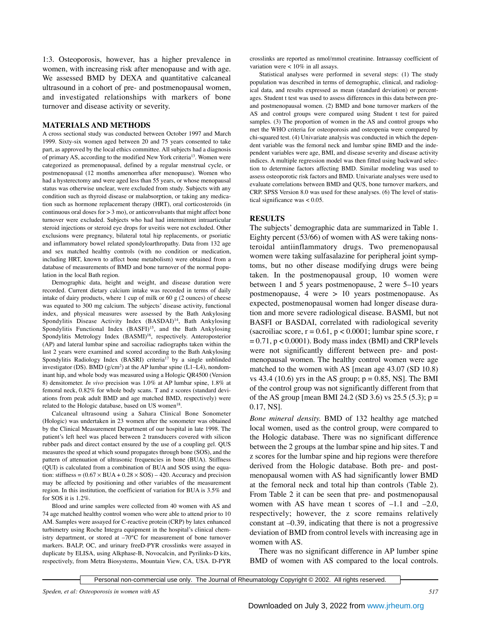1:3. Osteoporosis, however, has a higher prevalence in women, with increasing risk after menopause and with age. We assessed BMD by DEXA and quantitative calcaneal ultrasound in a cohort of pre- and postmenopausal women, and investigated relationships with markers of bone turnover and disease activity or severity.

#### **MATERIALS AND METHODS**

A cross sectional study was conducted between October 1997 and March 1999. Sixty-six women aged between 20 and 75 years consented to take part, as approved by the local ethics committee. All subjects had a diagnosis of primary AS, according to the modified New York criteria13. Women were categorized as premenopausal, defined by a regular menstrual cycle, or postmenopausal (12 months amenorrhea after menopause). Women who had a hysterectomy and were aged less than 55 years, or whose menopausal status was otherwise unclear, were excluded from study. Subjects with any condition such as thyroid disease or malabsorption, or taking any medication such as hormone replacement therapy (HRT), oral corticosteroids (in continuous oral doses for  $> 3$  mo), or anticonvulsants that might affect bone turnover were excluded. Subjects who had had intermittent intraarticular steroid injections or steroid eye drops for uveitis were not excluded. Other exclusions were pregnancy, bilateral total hip replacements, or psoriatic and inflammatory bowel related spondyloarthropathy. Data from 132 age and sex matched healthy controls (with no condition or medication, including HRT, known to affect bone metabolism) were obtained from a database of measurements of BMD and bone turnover of the normal population in the local Bath region.

Demographic data, height and weight, and disease duration were recorded. Current dietary calcium intake was recorded in terms of daily intake of dairy products, where 1 cup of milk or 60 g (2 ounces) of cheese was equated to 300 mg calcium. The subjects' disease activity, functional index, and physical measures were assessed by the Bath Ankylosing Spondylitis Disease Activity Index (BASDAI)<sup>14</sup>, Bath Ankylosing Spondylitis Functional Index (BASFI)<sup>15</sup>, and the Bath Ankylosing Spondylitis Metrology Index (BASMI)<sup>16</sup>, respectively. Anteroposterior (AP) and lateral lumbar spine and sacroiliac radiographs taken within the last 2 years were examined and scored according to the Bath Ankylosing Spondylitis Radiology Index (BASRI) criteria<sup>17</sup> by a single unblinded investigator (DS). BMD ( $g/cm<sup>2</sup>$ ) at the AP lumbar spine (L1–L4), nondominant hip, and whole body was measured using a Hologic QR4500 (Version 8) densitometer. *In vivo* precision was 1.0% at AP lumbar spine, 1.8% at femoral neck, 0.82% for whole body scans. T and z scores (standard deviations from peak adult BMD and age matched BMD, respectively) were related to the Hologic database, based on US women<sup>18</sup>.

Calcaneal ultrasound using a Sahara Clinical Bone Sonometer (Hologic) was undertaken in 23 women after the sonometer was obtained by the Clinical Measurement Department of our hospital in late 1998. The patient's left heel was placed between 2 transducers covered with silicon rubber pads and direct contact ensured by the use of a coupling gel. QUS measures the speed at which sound propagates through bone (SOS), and the pattern of attenuation of ultrasonic frequencies in bone (BUA). Stiffness (QUI) is calculated from a combination of BUA and SOS using the equation: stiffness =  $(0.67 \times BUA + 0.28 \times SOS) - 420$ . Accuracy and precision may be affected by positioning and other variables of the measurement region. In this institution, the coefficient of variation for BUA is 3.5% and for SOS it is 1.2%.

Blood and urine samples were collected from 40 women with AS and 74 age matched healthy control women who were able to attend prior to 10 AM. Samples were assayed for C-reactive protein (CRP) by latex enhanced turbimetry using Roche Integra equipment in the hospital's clinical chemistry department, or stored at –70°C for measurement of bone turnover markers. BALP, OC, and urinary freeD-PYR crosslinks were assayed in duplicate by ELISA, using Alkphase-B, Novocalcin, and Pyrilinks-D kits, respectively, from Metra Biosystems, Mountain View, CA, USA. D-PYR

crosslinks are reported as nmol/mmol creatinine. Intraassay coefficient of variation were < 10% in all assays.

Statistical analyses were performed in several steps: (1) The study population was described in terms of demographic, clinical, and radiological data, and results expressed as mean (standard deviation) or percentages. Student t test was used to assess differences in this data between preand postmenopausal women. (2) BMD and bone turnover markers of the AS and control groups were compared using Student t test for paired samples. (3) The proportion of women in the AS and control groups who met the WHO criteria for osteoporosis and osteopenia were compared by chi-squared test. (4) Univariate analysis was conducted in which the dependent variable was the femoral neck and lumbar spine BMD and the independent variables were age, BMI, and disease severity and disease activity indices. A multiple regression model was then fitted using backward selection to determine factors affecting BMD. Similar modeling was used to assess osteoporotic risk factors and BMD. Univariate analyses were used to evaluate correlations between BMD and QUS, bone turnover markers, and CRP. SPSS Version 8.0 was used for these analyses. (6) The level of statistical significance was < 0.05.

#### **RESULTS**

The subjects' demographic data are summarized in Table 1. Eighty percent (53/66) of women with AS were taking nonsteroidal antiinflammatory drugs. Two premenopausal women were taking sulfasalazine for peripheral joint symptoms, but no other disease modifying drugs were being taken. In the postmenopausal group, 10 women were between 1 and 5 years postmenopause, 2 were 5–10 years postmenopause, 4 were > 10 years postmenopause. As expected, postmenopausal women had longer disease duration and more severe radiological disease. BASMI, but not BASFI or BASDAI, correlated with radiological severity (sacroiliac score,  $r = 0.61$ ,  $p < 0.0001$ ; lumbar spine score, r  $= 0.71$ ,  $p < 0.0001$ ). Body mass index (BMI) and CRP levels were not significantly different between pre- and postmenopausal women. The healthy control women were age matched to the women with AS [mean age 43.07 (SD 10.8) vs 43.4 (10.6) yrs in the AS group;  $p = 0.85$ , NS a The BMI of the control group was not significantly different from that of the AS group [mean BMI 24.2 (SD 3.6) vs 25.5 (5.3);  $p =$ 0.17, NS].

*Bone mineral density.* BMD of 132 healthy age matched local women, used as the control group, were compared to the Hologic database. There was no significant difference between the 2 groups at the lumbar spine and hip sites. T and z scores for the lumbar spine and hip regions were therefore derived from the Hologic database. Both pre- and postmenopausal women with AS had significantly lower BMD at the femoral neck and total hip than controls (Table 2). From Table 2 it can be seen that pre- and postmenopausal women with AS have mean t scores of  $-1.1$  and  $-2.0$ , respectively; however, the z score remains relatively constant at –0.39, indicating that there is not a progressive deviation of BMD from control levels with increasing age in women with AS.

There was no significant difference in AP lumber spine BMD of women with AS compared to the local controls.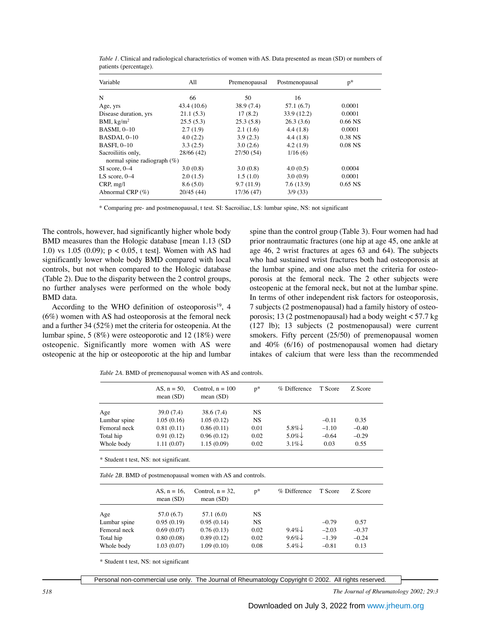| Variable                       | All         | Premenopausal | Postmenopausal | $p^*$     |
|--------------------------------|-------------|---------------|----------------|-----------|
| N                              | 66          | 50            | 16             |           |
| Age, yrs                       | 43.4 (10.6) | 38.9 (7.4)    | 57.1(6.7)      | 0.0001    |
| Disease duration, yrs          | 21.1(5.3)   | 17(8.2)       | 33.9 (12.2)    | 0.0001    |
| BMI, $\text{kg/m}^2$           | 25.5(5.3)   | 25.3(5.8)     | 26.3(3.6)      | $0.66$ NS |
| <b>BASMI, 0-10</b>             | 2.7(1.9)    | 2.1(1.6)      | 4.4(1.8)       | 0.0001    |
| BASDAI, 0-10                   | 4.0(2.2)    | 3.9(2.3)      | 4.4(1.8)       | 0.38 NS   |
| BASFI, 0-10                    | 3.3(2.5)    | 3.0(2.6)      | 4.2(1.9)       | $0.08$ NS |
| Sacroiliitis only,             | 28/66 (42)  | 27/50(54)     | 1/16(6)        |           |
| normal spine radiograph $(\%)$ |             |               |                |           |
| $SI$ score, $0-4$              | 3.0(0.8)    | 3.0(0.8)      | 4.0(0.5)       | 0.0004    |
| LS score, $0-4$                | 2.0(1.5)    | 1.5(1.0)      | 3.0(0.9)       | 0.0001    |
| CRP, mg/l                      | 8.6(5.0)    | 9.7(11.9)     | 7.6(13.9)      | $0.65$ NS |
| Abnormal CRP $(\%)$            | 20/45(44)   | 17/36 (47)    | 3/9(33)        |           |

*Table 1*. Clinical and radiological characteristics of women with AS. Data presented as mean (SD) or numbers of patients (percentage).

\* Comparing pre- and postmenopausal, t test. SI: Sacroiliac, LS: lumbar spine, NS: not significant

The controls, however, had significantly higher whole body BMD measures than the Hologic database [mean 1.13 (SD 1.0) vs 1.05 (0.09); p < 0.05, t test]. Women with AS had significantly lower whole body BMD compared with local controls, but not when compared to the Hologic database (Table 2). Due to the disparity between the 2 control groups, no further analyses were performed on the whole body BMD data.

According to the WHO definition of osteoporosis $^{19}$ , 4 (6%) women with AS had osteoporosis at the femoral neck and a further 34 (52%) met the criteria for osteopenia. At the lumbar spine, 5 (8%) were osteoporotic and 12 (18%) were osteopenic. Significantly more women with AS were osteopenic at the hip or osteoporotic at the hip and lumbar

spine than the control group (Table 3). Four women had had prior nontraumatic fractures (one hip at age 45, one ankle at age 46, 2 wrist fractures at ages 63 and 64). The subjects who had sustained wrist fractures both had osteoporosis at the lumbar spine, and one also met the criteria for osteoporosis at the femoral neck. The 2 other subjects were osteopenic at the femoral neck, but not at the lumbar spine. In terms of other independent risk factors for osteoporosis, 7 subjects (2 postmenopausal) had a family history of osteoporosis; 13 (2 postmenopausal) had a body weight < 57.7 kg (127 lb); 13 subjects (2 postmenopausal) were current smokers. Fifty percent (25/50) of premenopausal women and 40% (6/16) of postmenopausal women had dietary intakes of calcium that were less than the recommended

*Table 2A.* BMD of premenopausal women with AS and controls.

|              | AS. $n = 50$ .<br>mean $(SD)$ | Control. $n = 100$<br>mean $(SD)$ | $p^*$     | % Difference       | T Score | Z Score |
|--------------|-------------------------------|-----------------------------------|-----------|--------------------|---------|---------|
| Age          | 39.0 (7.4)                    | 38.6 (7.4)                        | NS        |                    |         |         |
| Lumbar spine | 1.05(0.16)                    | 1.05(0.12)                        | <b>NS</b> |                    | $-0.11$ | 0.35    |
| Femoral neck | 0.81(0.11)                    | 0.86(0.11)                        | 0.01      | 5.8% $\downarrow$  | $-1.10$ | $-0.40$ |
| Total hip    | 0.91(0.12)                    | 0.96(0.12)                        | 0.02      | $5.0\% \downarrow$ | $-0.64$ | $-0.29$ |
| Whole body   | 1.11(0.07)                    | 1.15(0.09)                        | 0.02      | $3.1\%$            | 0.03    | 0.55    |

*Table 2B.* BMD of postmenopausal women with AS and controls.

|              | AS, $n = 16$ .<br>mean $(SD)$ | Control, $n = 32$ ,<br>mean $(SD)$ | $p^*$ | % Difference | T Score | Z Score |
|--------------|-------------------------------|------------------------------------|-------|--------------|---------|---------|
| Age          | 57.0 (6.7)                    | 57.1(6.0)                          | NS.   |              |         |         |
| Lumbar spine | 0.95(0.19)                    | 0.95(0.14)                         | NS    |              | $-0.79$ | 0.57    |
| Femoral neck | 0.69(0.07)                    | 0.76(0.13)                         | 0.02  | $9.4\%$      | $-2.03$ | $-0.37$ |
| Total hip    | 0.80(0.08)                    | 0.89(0.12)                         | 0.02  | $9.6\%$      | $-1.39$ | $-0.24$ |
| Whole body   | 1.03(0.07)                    | 1.09(0.10)                         | 0.08  | $5.4\%$      | $-0.81$ | 0.13    |

\* Student t test, NS: not significant

Personal non-commercial use only. The Journal of Rheumatology Copyright © 2002. All rights reserved.

*518 The Journal of Rheumatology 2002; 29:3*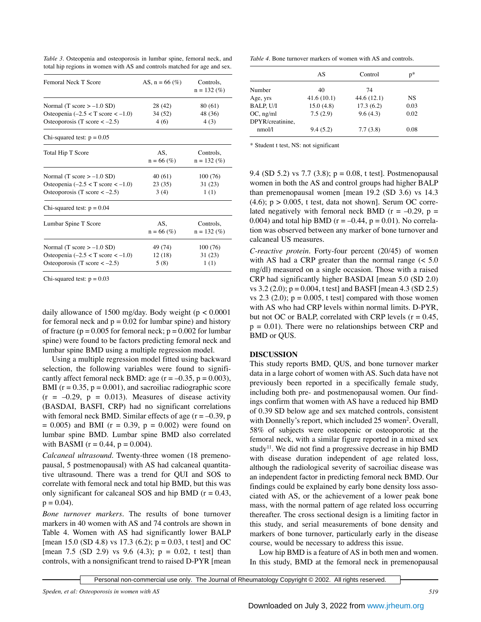| <i>Table 3.</i> Osteopenia and osteoporosis in lumbar spine, femoral neck, and |  |  |  |  |
|--------------------------------------------------------------------------------|--|--|--|--|
| total hip regions in women with AS and controls matched for age and sex.       |  |  |  |  |

| <b>Femoral Neck T Score</b>                                               | AS, $n = 66$ (%)    | Controls,<br>$n = 132 \ (%)$   |
|---------------------------------------------------------------------------|---------------------|--------------------------------|
| Normal (T score $> -1.0$ SD)                                              | 28 (42)             | 80 (61)                        |
| Osteopenia $(-2.5 < T$ score $<-1.0$ )<br>Osteoporosis (T score $<-2.5$ ) | 34 (52)<br>4(6)     | 48 (36)<br>4(3)                |
| Chi-squared test: $p = 0.05$                                              |                     |                                |
| Total Hip T Score                                                         | AS.<br>$n = 66$ (%) | Controls,<br>$n = 132 \; (\%)$ |
| Normal (T score $> -1.0$ SD)                                              | 40 (61)             | 100(76)                        |
| Osteopenia $(-2.5 < T$ score $<-1.0$ )                                    | 23(35)              | 31(23)                         |
| Osteoporosis (T score $<-2.5$ )                                           | 3(4)                | 1(1)                           |
| Chi-squared test: $p = 0.04$                                              |                     |                                |
| Lumbar Spine T Score                                                      | AS.<br>$n = 66$ (%) | Controls.<br>$n = 132 \; (\%)$ |
| Normal (T score $> -1.0$ SD)                                              | 49 (74)             | 100 (76)                       |
| Osteopenia $(-2.5 < T$ score $<-1.0$ )                                    | 12(18)              | 31 (23)                        |
| Osteoporosis (T score $<-2.5$ )                                           | 5(8)                | 1(1)                           |

Chi-squared test:  $p = 0.03$ 

daily allowance of 1500 mg/day. Body weight ( $p < 0.0001$ ) for femoral neck and  $p = 0.02$  for lumbar spine) and history of fracture ( $p = 0.005$  for femoral neck;  $p = 0.002$  for lumbar spine) were found to be factors predicting femoral neck and lumbar spine BMD using a multiple regression model.

Using a multiple regression model fitted using backward selection, the following variables were found to significantly affect femoral neck BMD: age  $(r = -0.35, p = 0.003)$ , BMI ( $r = 0.35$ ,  $p = 0.001$ ), and sacroiliac radiographic score  $(r = -0.29, p = 0.013)$ . Measures of disease activity (BASDAI, BASFI, CRP) had no significant correlations with femoral neck BMD. Similar effects of age  $(r = -0.39, p$  $= 0.005$ ) and BMI (r  $= 0.39$ , p  $= 0.002$ ) were found on lumbar spine BMD. Lumbar spine BMD also correlated with BASMI ( $r = 0.44$ ,  $p = 0.004$ ).

*Calcaneal ultrasound.* Twenty-three women (18 premenopausal, 5 postmenopausal) with AS had calcaneal quantitative ultrasound. There was a trend for QUI and SOS to correlate with femoral neck and total hip BMD, but this was only significant for calcaneal SOS and hip BMD ( $r = 0.43$ ,  $p = 0.04$ ).

*Bone turnover markers.* The results of bone turnover markers in 40 women with AS and 74 controls are shown in Table 4. Women with AS had significantly lower BALP [mean 15.0 (SD 4.8) vs 17.3 (6.2);  $p = 0.03$ , t test] and OC [mean 7.5 (SD 2.9) vs 9.6 (4.3);  $p = 0.02$ , t test] than controls, with a nonsignificant trend to raised D-PYR [mean

*Table 4.* Bone turnover markers of women with AS and controls.

|                  | AS         | Control    | $p*$ |
|------------------|------------|------------|------|
| Number           | 40         | 74         |      |
| Age, yrs         | 41.6(10.1) | 44.6(12.1) | NS   |
| <b>BALP, U/I</b> | 15.0(4.8)  | 17.3(6.2)  | 0.03 |
| $OC$ , ng/ml     | 7.5(2.9)   | 9.6(4.3)   | 0.02 |
| DPYR/creatinine, |            |            |      |
| nmol/l           | 9.4(5.2)   | 7.7(3.8)   | 0.08 |

\* Student t test, NS: not significant

9.4 (SD 5.2) vs 7.7 (3.8);  $p = 0.08$ , t test]. Postmenopausal women in both the AS and control groups had higher BALP than premenopausal women [mean 19.2 (SD 3.6) vs 14.3  $(4.6)$ ;  $p > 0.005$ , t test, data not shown]. Serum OC correlated negatively with femoral neck BMD ( $r = -0.29$ ,  $p =$ 0.004) and total hip BMD ( $r = -0.44$ ,  $p = 0.01$ ). No correlation was observed between any marker of bone turnover and calcaneal US measures.

*C-reactive protein.* Forty-four percent (20/45) of women with AS had a CRP greater than the normal range  $\leq 5.0$ mg/dl) measured on a single occasion. Those with a raised CRP had significantly higher BASDAI [mean 5.0 (SD 2.0) vs  $3.2$  (2.0);  $p = 0.004$ , t test] and BASFI [mean 4.3 (SD 2.5) vs  $2.3$  ( $2.0$ );  $p = 0.005$ , t test] compared with those women with AS who had CRP levels within normal limits. D-PYR, but not OC or BALP, correlated with CRP levels ( $r = 0.45$ ,  $p = 0.01$ ). There were no relationships between CRP and BMD or QUS.

### **DISCUSSION**

This study reports BMD, QUS, and bone turnover marker data in a large cohort of women with AS. Such data have not previously been reported in a specifically female study, including both pre- and postmenopausal women. Our findings confirm that women with AS have a reduced hip BMD of 0.39 SD below age and sex matched controls, consistent with Donnelly's report, which included 25 women<sup>2</sup>. Overall, 58% of subjects were osteopenic or osteoporotic at the femoral neck, with a similar figure reported in a mixed sex study<sup>11</sup>. We did not find a progressive decrease in hip BMD with disease duration independent of age related loss, although the radiological severity of sacroiliac disease was an independent factor in predicting femoral neck BMD. Our findings could be explained by early bone density loss associated with AS, or the achievement of a lower peak bone mass, with the normal pattern of age related loss occurring thereafter. The cross sectional design is a limiting factor in this study, and serial measurements of bone density and markers of bone turnover, particularly early in the disease course, would be necessary to address this issue.

Low hip BMD is a feature of AS in both men and women. In this study, BMD at the femoral neck in premenopausal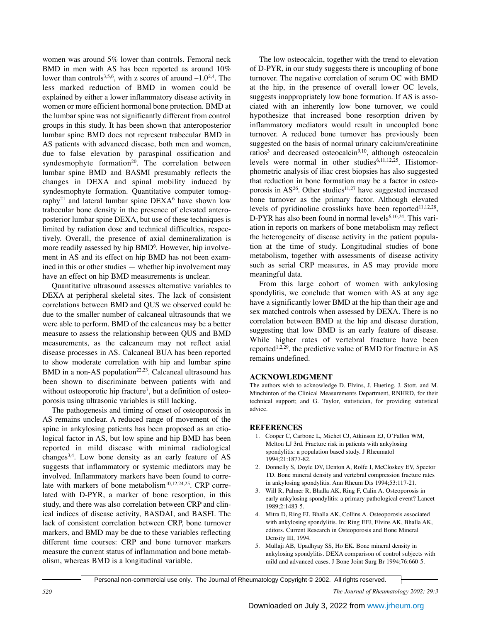women was around 5% lower than controls. Femoral neck BMD in men with AS has been reported as around 10% lower than controls<sup>3,5,6</sup>, with z scores of around  $-1.0^{2,4}$ . The less marked reduction of BMD in women could be explained by either a lower inflammatory disease activity in women or more efficient hormonal bone protection. BMD at the lumbar spine was not significantly different from control groups in this study. It has been shown that anteroposterior lumbar spine BMD does not represent trabecular BMD in AS patients with advanced disease, both men and women, due to false elevation by paraspinal ossification and syndesmophyte formation<sup>20</sup>. The correlation between lumbar spine BMD and BASMI presumably reflects the changes in DEXA and spinal mobility induced by syndesmophyte formation. Quantitative computer tomography<sup>21</sup> and lateral lumbar spine  $DEXA<sup>6</sup>$  have shown low trabecular bone density in the presence of elevated anteroposterior lumbar spine DEXA, but use of these techniques is limited by radiation dose and technical difficulties, respectively. Overall, the presence of axial demineralization is more readily assessed by hip BMD<sup>6</sup>. However, hip involvement in AS and its effect on hip BMD has not been examined in this or other studies — whether hip involvement may have an effect on hip BMD measurements is unclear.

Quantitative ultrasound assesses alternative variables to DEXA at peripheral skeletal sites. The lack of consistent correlations between BMD and QUS we observed could be due to the smaller number of calcaneal ultrasounds that we were able to perform. BMD of the calcaneus may be a better measure to assess the relationship between QUS and BMD measurements, as the calcaneum may not reflect axial disease processes in AS. Calcaneal BUA has been reported to show moderate correlation with hip and lumbar spine BMD in a non-AS population<sup>22,23</sup>. Calcaneal ultrasound has been shown to discriminate between patients with and without osteoporotic hip fracture<sup>7</sup>, but a definition of osteoporosis using ultrasonic variables is still lacking.

The pathogenesis and timing of onset of osteoporosis in AS remains unclear. A reduced range of movement of the spine in ankylosing patients has been proposed as an etiological factor in AS, but low spine and hip BMD has been reported in mild disease with minimal radiological changes3,4. Low bone density as an early feature of AS suggests that inflammatory or systemic mediators may be involved. Inflammatory markers have been found to correlate with markers of bone metabolism<sup>10,12,24,25</sup>. CRP correlated with D-PYR, a marker of bone resorption, in this study, and there was also correlation between CRP and clinical indices of disease activity, BASDAI, and BASFI. The lack of consistent correlation between CRP, bone turnover markers, and BMD may be due to these variables reflecting different time courses: CRP and bone turnover markers measure the current status of inflammation and bone metabolism, whereas BMD is a longitudinal variable.

The low osteocalcin, together with the trend to elevation of D-PYR, in our study suggests there is uncoupling of bone turnover. The negative correlation of serum OC with BMD at the hip, in the presence of overall lower OC levels, suggests inappropriately low bone formation. If AS is associated with an inherently low bone turnover, we could hypothesize that increased bone resorption driven by inflammatory mediators would result in uncoupled bone turnover. A reduced bone turnover has previously been suggested on the basis of normal urinary calcium/creatinine ratios<sup>3</sup> and decreased osteocalcin<sup>9,10</sup>, although osteocalcin levels were normal in other studies<sup>6,11,12,25</sup>. Histomorphometric analysis of iliac crest biopsies has also suggested that reduction in bone formation may be a factor in osteoporosis in  $AS^{26}$ . Other studies<sup>11,27</sup> have suggested increased bone turnover as the primary factor. Although elevated levels of pyridinoline crosslinks have been reported $11,12,28$ , D-PYR has also been found in normal levels $6,10,24$ . This variation in reports on markers of bone metabolism may reflect the heterogeneity of disease activity in the patient population at the time of study. Longitudinal studies of bone metabolism, together with assessments of disease activity such as serial CRP measures, in AS may provide more meaningful data.

From this large cohort of women with ankylosing spondylitis, we conclude that women with AS at any age have a significantly lower BMD at the hip than their age and sex matched controls when assessed by DEXA. There is no correlation between BMD at the hip and disease duration, suggesting that low BMD is an early feature of disease. While higher rates of vertebral fracture have been reported<sup>1,2,29</sup>, the predictive value of BMD for fracture in AS remains undefined.

#### **ACKNOWLEDGMENT**

The authors wish to acknowledge D. Elvins, J. Hueting, J. Stott, and M. Minchinton of the Clinical Measurements Department, RNHRD, for their technical support; and G. Taylor, statistician, for providing statistical advice.

#### **REFERENCES**

- 1. Cooper C, Carbone L, Michet CJ, Atkinson EJ, O'Fallon WM, Melton LJ 3rd. Fracture risk in patients with ankylosing spondylitis: a population based study. J Rheumatol 1994;21:1877-82.
- 2. Donnelly S, Doyle DV, Denton A, Rolfe I, McCloskey EV, Spector TD. Bone mineral density and vertebral compression fracture rates in ankylosing spondylitis. Ann Rheum Dis 1994;53:117-21.
- 3. Will R, Palmer R, Bhalla AK, Ring F, Calin A. Osteoporosis in early ankylosing spondylitis: a primary pathological event? Lancet 1989;2:1483-5.
- 4. Mitra D, Ring FJ, Bhalla AK, Collins A. Osteoporosis associated with ankylosing spondylitis. In: Ring EFJ, Elvins AK, Bhalla AK, editors. Current Research in Osteoporosis and Bone Mineral Density III, 1994.
- 5. Mullaji AB, Upadhyay SS, Ho EK. Bone mineral density in ankylosing spondylitis. DEXA comparison of control subjects with mild and advanced cases. J Bone Joint Surg Br 1994;76:660-5.

Personal non-commercial use only. The Journal of Rheumatology Copyright © 2002. All rights reserved.